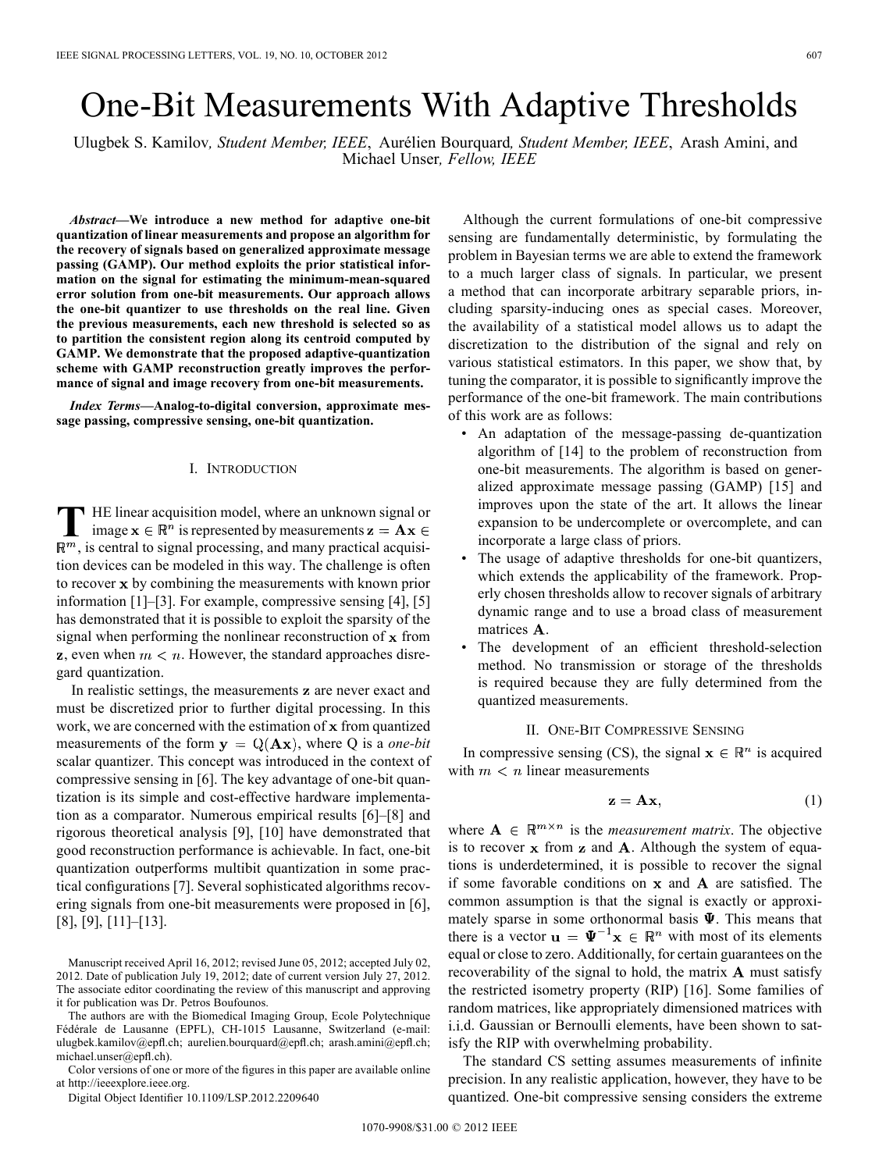# One-Bit Measurements With Adaptive Thresholds

Ulugbek S. Kamilov*, Student Member, IEEE*, Aurélien Bourquard*, Student Member, IEEE*, Arash Amini, and Michael Unser*, Fellow, IEEE*

*Abstract—***We introduce a new method for adaptive one-bit quantization of linear measurements and propose an algorithm for the recovery of signals based on generalized approximate message passing (GAMP). Our method exploits the prior statistical information on the signal for estimating the minimum-mean-squared error solution from one-bit measurements. Our approach allows the one-bit quantizer to use thresholds on the real line. Given the previous measurements, each new threshold is selected so as to partition the consistent region along its centroid computed by GAMP. We demonstrate that the proposed adaptive-quantization scheme with GAMP reconstruction greatly improves the performance of signal and image recovery from one-bit measurements.**

*Index Terms—***Analog-to-digital conversion, approximate message passing, compressive sensing, one-bit quantization.**

# I. INTRODUCTION

**T** HE linear acquisition model, where an unknown signal or image  $\mathbf{x} \in \mathbb{R}^n$  is represented by measurements  $\mathbf{z} = \mathbf{A}\mathbf{x} \in \mathbb{R}^n$  $\mathbb{R}^m$ , is central to signal processing, and many practical acquisition devices can be modeled in this way. The challenge is often to recover x by combining the measurements with known prior information [1]–[3]. For example, compressive sensing [4], [5] has demonstrated that it is possible to exploit the sparsity of the signal when performing the nonlinear reconstruction of  $x$  from z, even when  $m < n$ . However, the standard approaches disregard quantization.

In realistic settings, the measurements z are never exact and must be discretized prior to further digital processing. In this work, we are concerned with the estimation of  $x$  from quantized measurements of the form  $y = Q(Ax)$ , where Q is a *one-bit* scalar quantizer. This concept was introduced in the context of compressive sensing in [6]. The key advantage of one-bit quantization is its simple and cost-effective hardware implementation as a comparator. Numerous empirical results [6]–[8] and rigorous theoretical analysis [9], [10] have demonstrated that good reconstruction performance is achievable. In fact, one-bit quantization outperforms multibit quantization in some practical configurations [7]. Several sophisticated algorithms recovering signals from one-bit measurements were proposed in [6], [8], [9], [11]–[13].

The authors are with the Biomedical Imaging Group, Ecole Polytechnique Fédérale de Lausanne (EPFL), CH-1015 Lausanne, Switzerland (e-mail: ulugbek.kamilov@epfl.ch; aurelien.bourquard@epfl.ch; arash.amini@epfl.ch; michael.unser@epfl.ch).

Color versions of one or more of the figures in this paper are available online at http://ieeexplore.ieee.org.

Digital Object Identifier 10.1109/LSP.2012.2209640

Although the current formulations of one-bit compressive sensing are fundamentally deterministic, by formulating the problem in Bayesian terms we are able to extend the framework to a much larger class of signals. In particular, we present a method that can incorporate arbitrary separable priors, including sparsity-inducing ones as special cases. Moreover, the availability of a statistical model allows us to adapt the discretization to the distribution of the signal and rely on various statistical estimators. In this paper, we show that, by tuning the comparator, it is possible to significantly improve the performance of the one-bit framework. The main contributions of this work are as follows:

- An adaptation of the message-passing de-quantization algorithm of [14] to the problem of reconstruction from one-bit measurements. The algorithm is based on generalized approximate message passing (GAMP) [15] and improves upon the state of the art. It allows the linear expansion to be undercomplete or overcomplete, and can incorporate a large class of priors.
- The usage of adaptive thresholds for one-bit quantizers, which extends the applicability of the framework. Properly chosen thresholds allow to recover signals of arbitrary dynamic range and to use a broad class of measurement matrices  $A$ .
- The development of an efficient threshold-selection method. No transmission or storage of the thresholds is required because they are fully determined from the quantized measurements.

# II. ONE-BIT COMPRESSIVE SENSING

In compressive sensing (CS), the signal  $x \in \mathbb{R}^n$  is acquired with  $m < n$  linear measurements

$$
z = Ax, \tag{1}
$$

where  $A \in \mathbb{R}^{m \times n}$  is the *measurement matrix*. The objective is to recover  $x$  from  $z$  and  $A$ . Although the system of equations is underdetermined, it is possible to recover the signal if some favorable conditions on  $x$  and  $A$  are satisfied. The common assumption is that the signal is exactly or approximately sparse in some orthonormal basis  $\Psi$ . This means that there is a vector  $\mathbf{u} = \mathbf{\Psi}^{-1} \mathbf{x} \in \mathbb{R}^n$  with most of its elements equal or close to zero. Additionally, for certain guarantees on the recoverability of the signal to hold, the matrix  $A$  must satisfy the restricted isometry property (RIP) [16]. Some families of random matrices, like appropriately dimensioned matrices with i.i.d. Gaussian or Bernoulli elements, have been shown to satisfy the RIP with overwhelming probability.

The standard CS setting assumes measurements of infinite precision. In any realistic application, however, they have to be quantized. One-bit compressive sensing considers the extreme

Manuscript received April 16, 2012; revised June 05, 2012; accepted July 02, 2012. Date of publication July 19, 2012; date of current version July 27, 2012. The associate editor coordinating the review of this manuscript and approving it for publication was Dr. Petros Boufounos.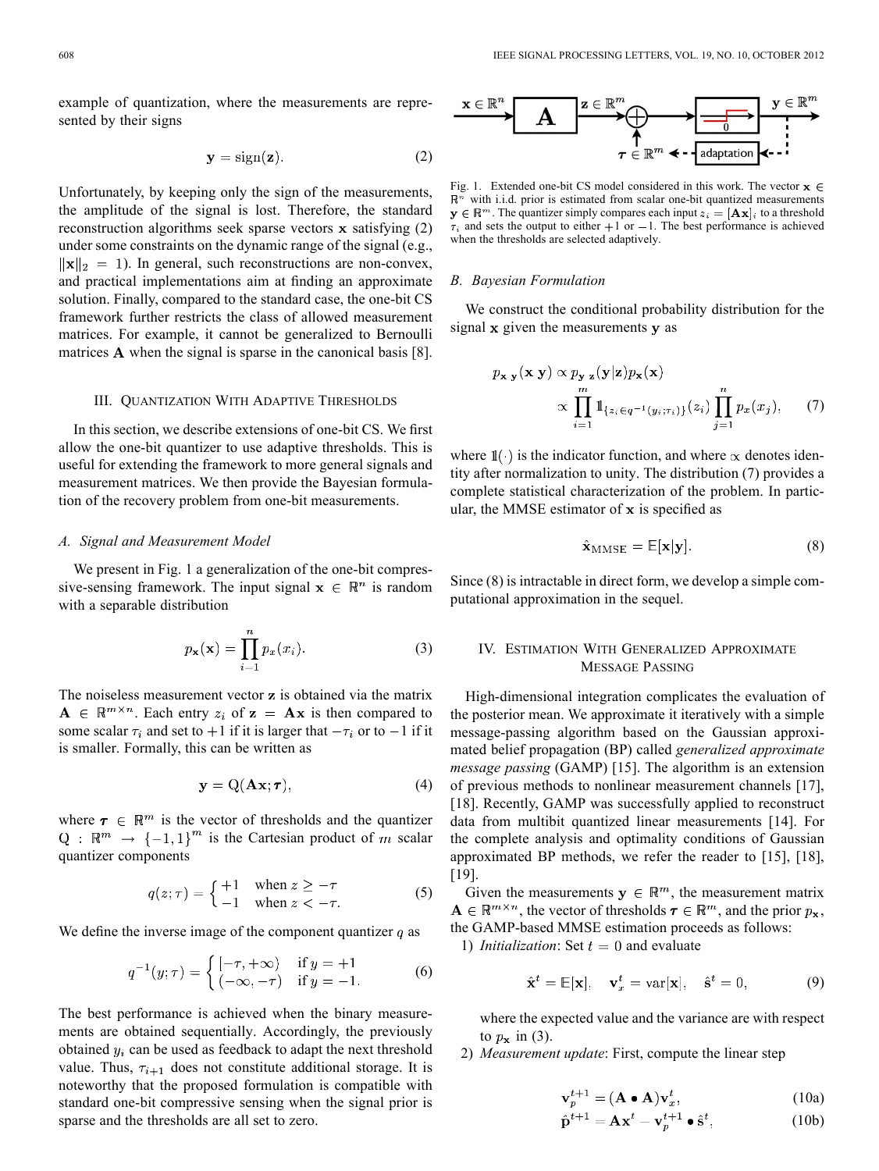example of quantization, where the measurements are represented by their signs

$$
y = sign(z). \t(2)
$$

Unfortunately, by keeping only the sign of the measurements, the amplitude of the signal is lost. Therefore, the standard reconstruction algorithms seek sparse vectors  $x$  satisfying  $(2)$ under some constraints on the dynamic range of the signal (e.g.,  $\|\mathbf{x}\|_2 = 1$ ). In general, such reconstructions are non-convex, and practical implementations aim at finding an approximate solution. Finally, compared to the standard case, the one-bit CS framework further restricts the class of allowed measurement matrices. For example, it cannot be generalized to Bernoulli matrices  $A$  when the signal is sparse in the canonical basis [8].

### III. QUANTIZATION WITH ADAPTIVE THRESHOLDS

In this section, we describe extensions of one-bit CS. We first allow the one-bit quantizer to use adaptive thresholds. This is useful for extending the framework to more general signals and measurement matrices. We then provide the Bayesian formulation of the recovery problem from one-bit measurements.

### *A. Signal and Measurement Model*

We present in Fig. 1 a generalization of the one-bit compressive-sensing framework. The input signal  $x \in \mathbb{R}^n$  is random with a separable distribution

$$
p_{\mathbf{x}}(\mathbf{x}) = \prod_{i=1}^{n} p_x(x_i).
$$
 (3)

The noiseless measurement vector  $z$  is obtained via the matrix  $A \in \mathbb{R}^{m \times n}$ . Each entry  $z_i$  of  $z = Ax$  is then compared to some scalar  $\tau_i$  and set to +1 if it is larger that  $-\tau_i$  or to -1 if it is smaller. Formally, this can be written as

$$
y = Q(\mathbf{A}\mathbf{x}; \boldsymbol{\tau}), \tag{4}
$$

where  $\tau \in \mathbb{R}^m$  is the vector of thresholds and the quantizer  $Q : \mathbb{R}^m \to \{-1,1\}^m$  is the Cartesian product of m scalar quantizer components

$$
q(z; \tau) = \begin{cases} +1 & \text{when } z \ge -\tau \\ -1 & \text{when } z < -\tau. \end{cases}
$$
 (5)

We define the inverse image of the component quantizer  $q$  as

$$
q^{-1}(y; \tau) = \begin{cases} [-\tau, +\infty) & \text{if } y = +1 \\ (-\infty, -\tau) & \text{if } y = -1. \end{cases}
$$
 (6)

The best performance is achieved when the binary measurements are obtained sequentially. Accordingly, the previously obtained  $y_i$  can be used as feedback to adapt the next threshold value. Thus,  $\tau_{i+1}$  does not constitute additional storage. It is noteworthy that the proposed formulation is compatible with standard one-bit compressive sensing when the signal prior is sparse and the thresholds are all set to zero.



Fig. 1. Extended one-bit CS model considered in this work. The vector  $x \in$  $\mathbb{R}^n$  with i.i.d. prior is estimated from scalar one-bit quantized measurements  $y \in \mathbb{R}^m$ . The quantizer simply compares each input  $z_i = [\mathbf{A}\mathbf{x}]_i$  to a threshold  $\tau_i$  and sets the output to either  $+1$  or  $-1$ . The best performance is achieved when the thresholds are selected adaptively.

#### *B. Bayesian Formulation*

We construct the conditional probability distribution for the signal  $x$  given the measurements  $y$  as

$$
p_{\mathbf{x}|\mathbf{y}}(\mathbf{x}|\mathbf{y}) \propto p_{\mathbf{y}|\mathbf{z}}(\mathbf{y}|\mathbf{z}) p_{\mathbf{x}}(\mathbf{x})
$$

$$
\propto \prod_{i=1}^{m} \mathbb{1}_{\{z_i \in q^{-1}(y_i; \tau_i)\}}(z_i) \prod_{j=1}^{n} p_x(x_j), \qquad (7)
$$

where  $\mathbb{I}(\cdot)$  is the indicator function, and where  $\propto$  denotes identity after normalization to unity. The distribution (7) provides a complete statistical characterization of the problem. In particular, the MMSE estimator of  $x$  is specified as

$$
\hat{\mathbf{x}}_{\text{MMSE}} = \mathbb{E}[\mathbf{x}|\mathbf{y}]. \tag{8}
$$

Since (8) is intractable in direct form, we develop a simple computational approximation in the sequel.

# IV. ESTIMATION WITH GENERALIZED APPROXIMATE MESSAGE PASSING

High-dimensional integration complicates the evaluation of the posterior mean. We approximate it iteratively with a simple message-passing algorithm based on the Gaussian approximated belief propagation (BP) called *generalized approximate message passing* (GAMP) [15]. The algorithm is an extension of previous methods to nonlinear measurement channels [17], [18]. Recently, GAMP was successfully applied to reconstruct data from multibit quantized linear measurements [14]. For the complete analysis and optimality conditions of Gaussian approximated BP methods, we refer the reader to [15], [18], [19].

Given the measurements  $y \in \mathbb{R}^m$ , the measurement matrix  $\mathbf{A} \in \mathbb{R}^{m \times n}$ , the vector of thresholds  $\boldsymbol{\tau} \in \mathbb{R}^m$ , and the prior  $p_{\mathbf{x}}$ , the GAMP-based MMSE estimation proceeds as follows:

1) *Initialization*: Set  $t = 0$  and evaluate

$$
\hat{\mathbf{x}}^t = \mathbb{E}[\mathbf{x}], \quad \mathbf{v}_x^t = \text{var}[\mathbf{x}], \quad \hat{\mathbf{s}}^t = 0,
$$
 (9)

where the expected value and the variance are with respect to  $p_x$  in (3).

2) *Measurement update*: First, compute the linear step

$$
\mathbf{v}_p^{t+1} = (\mathbf{A} \bullet \mathbf{A}) \mathbf{v}_x^t, \tag{10a}
$$

$$
\hat{\mathbf{p}}^{t+1} = \mathbf{A}\mathbf{x}^t - \mathbf{v}_p^{t+1} \bullet \hat{\mathbf{s}}^t,\tag{10b}
$$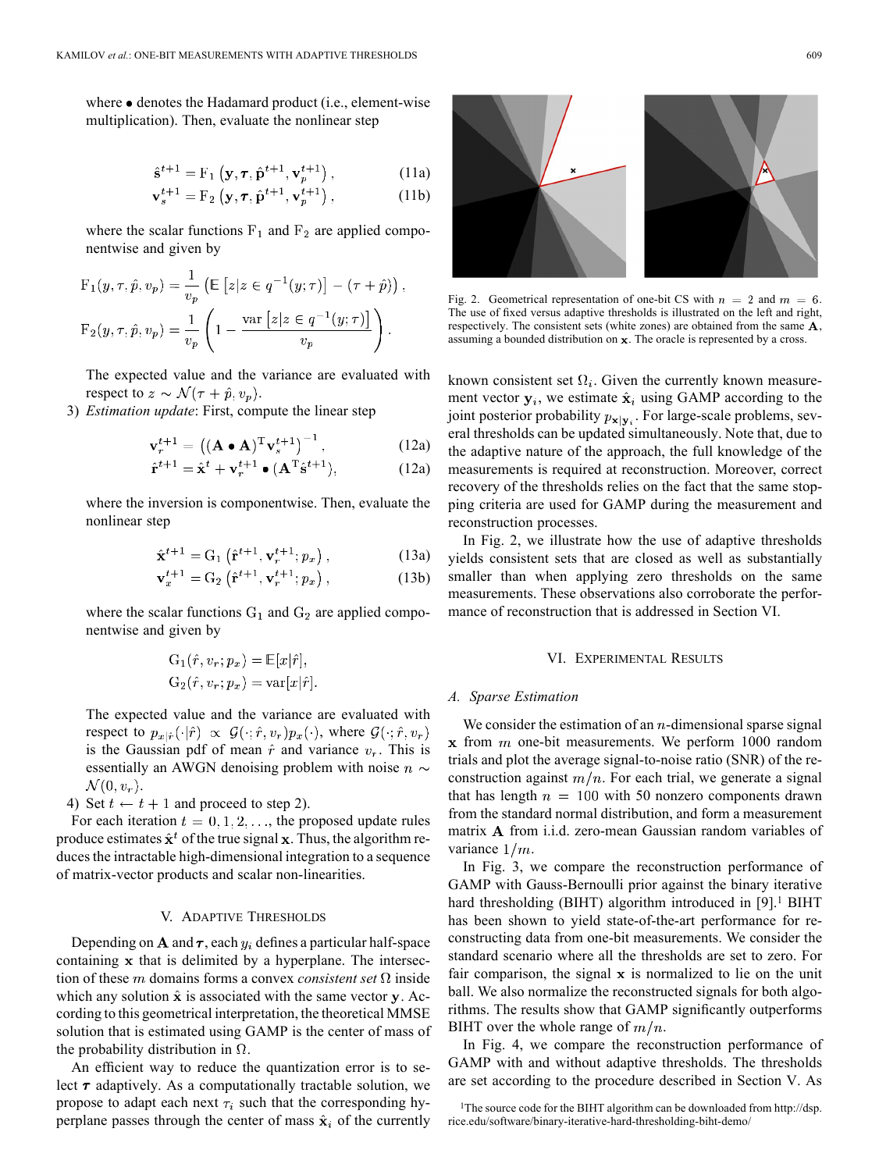where  $\bullet$  denotes the Hadamard product (i.e., element-wise multiplication). Then, evaluate the nonlinear step

$$
\hat{\mathbf{s}}^{t+1} = \mathbf{F}_1\left(\mathbf{y}, \boldsymbol{\tau}, \hat{\mathbf{p}}^{t+1}, \mathbf{v}_p^{t+1}\right),\tag{11a}
$$

$$
\mathbf{v}_s^{t+1} = \mathbf{F}_2\left(\mathbf{y}, \boldsymbol{\tau}, \hat{\mathbf{p}}^{t+1}, \mathbf{v}_p^{t+1}\right),\tag{11b}
$$

where the scalar functions  $F_1$  and  $F_2$  are applied componentwise and given by

$$
F_1(y, \tau, \hat{p}, v_p) = \frac{1}{v_p} \left( \mathbb{E} \left[ z | z \in q^{-1}(y; \tau) \right] - (\tau + \hat{p}) \right),
$$
  

$$
F_2(y, \tau, \hat{p}, v_p) = \frac{1}{v_p} \left( 1 - \frac{\text{var} \left[ z | z \in q^{-1}(y; \tau) \right]}{v_p} \right).
$$

The expected value and the variance are evaluated with respect to  $z \sim \mathcal{N}(\tau + \hat{p}, v_n)$ .

3) *Estimation update*: First, compute the linear step

$$
\mathbf{v}_r^{t+1} = \left( (\mathbf{A} \bullet \mathbf{A})^{\mathrm{T}} \mathbf{v}_s^{t+1} \right)^{-1},\tag{12a}
$$

$$
\hat{\mathbf{r}}^{t+1} = \hat{\mathbf{x}}^t + \mathbf{v}_r^{t+1} \bullet (\mathbf{A}^{\mathrm{T}} \hat{\mathbf{s}}^{t+1}),\tag{12a}
$$

where the inversion is componentwise. Then, evaluate the nonlinear step

$$
\hat{\mathbf{x}}^{t+1} = \mathbf{G}_1 \left( \hat{\mathbf{r}}^{t+1}, \mathbf{v}_r^{t+1}; p_x \right), \tag{13a}
$$

$$
\mathbf{v}_x^{t+1} = \mathbf{G}_2\left(\hat{\mathbf{r}}^{t+1}, \mathbf{v}_r^{t+1}; p_x\right),\tag{13b}
$$

where the scalar functions  $G_1$  and  $G_2$  are applied componentwise and given by

$$
G_1(\hat{r}, v_r; p_x) = \mathbb{E}[x|\hat{r}],
$$
  
\n
$$
G_2(\hat{r}, v_r; p_x) = \text{var}[x|\hat{r}]
$$

The expected value and the variance are evaluated with respect to  $p_{x|\hat{r}}(\cdot|\hat{r}) \propto \mathcal{G}(\cdot;\hat{r},v_r)p_x(\cdot)$ , where  $\mathcal{G}(\cdot;\hat{r},v_r)$ is the Gaussian pdf of mean  $\hat{r}$  and variance  $v_r$ . This is essentially an AWGN denoising problem with noise  $n \sim$  $\mathcal{N}(0, v_r)$ .

4) Set  $t \leftarrow t + 1$  and proceed to step 2).

For each iteration  $t = 0, 1, 2, \ldots$ , the proposed update rules produce estimates  $\hat{\mathbf{x}}^t$  of the true signal x. Thus, the algorithm reduces the intractable high-dimensional integration to a sequence of matrix-vector products and scalar non-linearities.

# V. ADAPTIVE THRESHOLDS

Depending on A and  $\tau$ , each  $y_i$  defines a particular half-space containing  $x$  that is delimited by a hyperplane. The intersection of these m domains forms a convex *consistent set*  $\Omega$  inside which any solution  $\hat{x}$  is associated with the same vector y. According to this geometrical interpretation, the theoretical MMSE solution that is estimated using GAMP is the center of mass of the probability distribution in  $\Omega$ .

An efficient way to reduce the quantization error is to select  $\tau$  adaptively. As a computationally tractable solution, we propose to adapt each next  $\tau_i$  such that the corresponding hyperplane passes through the center of mass  $\hat{\mathbf{x}}_i$  of the currently



Fig. 2. Geometrical representation of one-bit CS with  $n = 2$  and  $m = 6$ . The use of fixed versus adaptive thresholds is illustrated on the left and right, respectively. The consistent sets (white zones) are obtained from the same  $A$ , assuming a bounded distribution on  $x$ . The oracle is represented by a cross.

known consistent set  $\Omega_i$ . Given the currently known measurement vector  $y_i$ , we estimate  $\hat{x}_i$  using GAMP according to the joint posterior probability  $p_{\mathbf{x}|\mathbf{y}_i}$ . For large-scale problems, several thresholds can be updated simultaneously. Note that, due to the adaptive nature of the approach, the full knowledge of the measurements is required at reconstruction. Moreover, correct recovery of the thresholds relies on the fact that the same stopping criteria are used for GAMP during the measurement and reconstruction processes.

In Fig. 2, we illustrate how the use of adaptive thresholds yields consistent sets that are closed as well as substantially smaller than when applying zero thresholds on the same measurements. These observations also corroborate the performance of reconstruction that is addressed in Section VI.

#### VI. EXPERIMENTAL RESULTS

## *A. Sparse Estimation*

We consider the estimation of an  $n$ -dimensional sparse signal  $x$  from  $m$  one-bit measurements. We perform 1000 random trials and plot the average signal-to-noise ratio (SNR) of the reconstruction against  $m/n$ . For each trial, we generate a signal that has length  $n = 100$  with 50 nonzero components drawn from the standard normal distribution, and form a measurement matrix A from i.i.d. zero-mean Gaussian random variables of variance  $1/m$ .

In Fig. 3, we compare the reconstruction performance of GAMP with Gauss-Bernoulli prior against the binary iterative hard thresholding (BIHT) algorithm introduced in [9].<sup>1</sup> BIHT has been shown to yield state-of-the-art performance for reconstructing data from one-bit measurements. We consider the standard scenario where all the thresholds are set to zero. For fair comparison, the signal  $x$  is normalized to lie on the unit ball. We also normalize the reconstructed signals for both algorithms. The results show that GAMP significantly outperforms BIHT over the whole range of  $m/n$ .

In Fig. 4, we compare the reconstruction performance of GAMP with and without adaptive thresholds. The thresholds are set according to the procedure described in Section V. As

<sup>1</sup>The source code for the BIHT algorithm can be downloaded from http://dsp. rice.edu/software/binary-iterative-hard-thresholding-biht-demo/